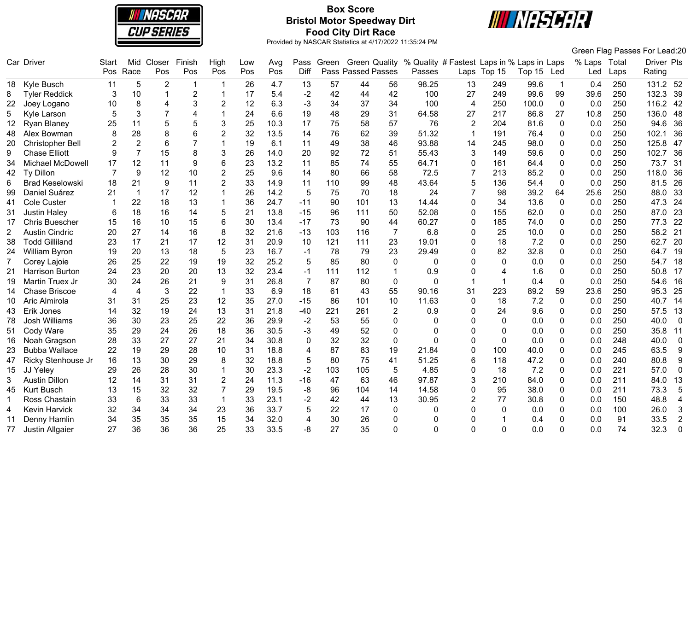

# **Box Score Bristol Motor Speedway Dirt Food City Dirt Race**



|                |                         |       |                |                       |                         |                |     |      |                |       |                      |                |          |                                            |             |          |                         |              |      | Green Flag Passes For Lead:20 |
|----------------|-------------------------|-------|----------------|-----------------------|-------------------------|----------------|-----|------|----------------|-------|----------------------|----------------|----------|--------------------------------------------|-------------|----------|-------------------------|--------------|------|-------------------------------|
|                | Car Driver              | Start | Mid            | Closer                | Finish                  | High           | Low | Avg  | Pass           | Green | <b>Green Quality</b> |                |          | % Quality # Fastest Laps in % Laps in Laps |             |          |                         | % Laps Total |      | Driver Pts                    |
|                |                         | Pos   | Race           | Pos                   | Pos                     | Pos            | Pos | Pos  | Diff           |       | Pass Passed Passes   |                | Passes   |                                            | Laps Top 15 | Top $15$ | Led                     | Led          | Laps | Rating                        |
|                | 18 Kyle Busch           | 11    | 5              | $\overline{2}$        | $\overline{\mathbf{1}}$ |                | 26  | 4.7  | 13             | 57    | 44                   | 56             | 98.25    | 13                                         | 249         | 99.6     | $\overline{\mathbf{1}}$ | 0.4          | 250  | 131.2 52                      |
| 8              | <b>Tyler Reddick</b>    | 3     | 10             | -1                    | $\overline{2}$          |                | 17  | 5.4  | $-2$           | 42    | 44                   | 42             | 100      | 27                                         | 249         | 99.6     | 99                      | 39.6         | 250  | 132.3<br>39                   |
| 22             | Joey Logano             | 10    | 8              | $\boldsymbol{\Delta}$ | 3                       |                | 12  | 6.3  | $-3$           | 34    | 37                   | 34             | 100      | 4                                          | 250         | 100.0    | $\mathbf{0}$            | 0.0          | 250  | 116.2<br>42                   |
| 5              | Kyle Larson             | 5     | 3              | 7                     | 4                       |                | 24  | 6.6  | 19             | 48    | 29                   | 31             | 64.58    | 27                                         | 217         | 86.8     | 27                      | 10.8         | 250  | 136.0<br>48                   |
| 12             | Ryan Blaney             | 25    | 11             | 5                     | 5                       | 3              | 25  | 10.3 | 17             | 75    | 58                   | 57             | 76       | $\overline{2}$                             | 204         | 81.6     | $\mathbf{0}$            | 0.0          | 250  | 94.6<br>36                    |
| 48             | Alex Bowman             | 8     | 28             | 8                     | 6                       | $\overline{2}$ | 32  | 13.5 | 14             | 76    | 62                   | 39             | 51.32    | $\mathbf 1$                                | 191         | 76.4     | 0                       | 0.0          | 250  | 102.1<br>36                   |
| 20             | <b>Christopher Bell</b> |       | $\overline{2}$ | $6\phantom{1}6$       |                         |                | 19  | 6.1  | 11             | 49    | 38                   | 46             | 93.88    | 14                                         | 245         | 98.0     | $\mathbf{0}$            | 0.0          | 250  | 125.8<br>47                   |
| 9              | <b>Chase Elliott</b>    | 9     | $\overline{7}$ | 15                    | 8                       | 3              | 26  | 14.0 | 20             | 92    | 72                   | 51             | 55.43    | 3                                          | 149         | 59.6     | $\mathbf 0$             | 0.0          | 250  | 102.7<br>36                   |
| 34             | Michael McDowell        | 17    | 12             | 11                    | 9                       | 6              | 23  | 13.2 | 11             | 85    | 74                   | 55             | 64.71    | 0                                          | 161         | 64.4     | $\mathbf{0}$            | 0.0          | 250  | 73.7<br>31                    |
| 42             | Ty Dillon               |       | 9              | 12                    | 10                      | $\overline{2}$ | 25  | 9.6  | 14             | 80    | 66                   | 58             | 72.5     | 7                                          | 213         | 85.2     | $\mathbf 0$             | 0.0          | 250  | 118.0<br>36                   |
| 6              | <b>Brad Keselowski</b>  | 18    | 21             | 9                     | 11                      | $\overline{2}$ | 33  | 14.9 | 11             | 110   | 99                   | 48             | 43.64    | 5                                          | 136         | 54.4     | $\mathbf{0}$            | 0.0          | 250  | 26<br>81.5                    |
| 99             | Daniel Suárez           | 21    | $\mathbf 1$    | 17                    | 12                      |                | 26  | 14.2 | 5              | 75    | 70                   | 18             | 24       | 7                                          | 98          | 39.2     | 64                      | 25.6         | 250  | 33<br>88.0                    |
| 41             | Cole Custer             |       | 22             | 18                    | 13                      |                | 36  | 24.7 | $-11$          | 90    | 101                  | 13             | 14.44    | 0                                          | 34          | 13.6     | $\mathbf 0$             | 0.0          | 250  | 24<br>47.3                    |
| 31             | <b>Justin Haley</b>     | 6     | 18             | 16                    | 14                      | 5              | 21  | 13.8 | $-15$          | 96    | 111                  | 50             | 52.08    | 0                                          | 155         | 62.0     | $\Omega$                | 0.0          | 250  | 23<br>87.0                    |
| 17             | <b>Chris Buescher</b>   | 15    | 16             | 10                    | 15                      | 6              | 30  | 13.4 | $-17$          | 73    | 90                   | 44             | 60.27    | 0                                          | 185         | 74.0     | $\Omega$                | 0.0          | 250  | 77.3<br>22                    |
| $\overline{2}$ | <b>Austin Cindric</b>   | 20    | 27             | 14                    | 16                      | 8              | 32  | 21.6 | $-13$          | 103   | 116                  | $\overline{7}$ | 6.8      | 0                                          | 25          | 10.0     | $\mathbf 0$             | 0.0          | 250  | 58.2<br>21                    |
| 38             | <b>Todd Gilliland</b>   | 23    | 17             | 21                    | 17                      | 12             | 31  | 20.9 | 10             | 121   | 111                  | 23             | 19.01    | 0                                          | 18          | 7.2      | 0                       | 0.0          | 250  | 62.7<br>20                    |
| 24             | William Byron           | 19    | 20             | 13                    | 18                      | 5              | 23  | 16.7 | $-1$           | 78    | 79                   | 23             | 29.49    | 0                                          | 82          | 32.8     | $\Omega$                | 0.0          | 250  | 19<br>64.7                    |
| 7              | Corey Lajoie            | 26    | 25             | 22                    | 19                      | 19             | 32  | 25.2 | 5              | 85    | 80                   | $\mathbf{0}$   | $\Omega$ | 0                                          | $\Omega$    | 0.0      | $\Omega$                | 0.0          | 250  | 54.7<br>18                    |
| 21             | <b>Harrison Burton</b>  | 24    | 23             | 20                    | 20                      | 13             | 32  | 23.4 | $-1$           | 111   | 112                  | $\mathbf 1$    | 0.9      | 0                                          |             | 1.6      | $\mathbf{0}$            | 0.0          | 250  | 50.8<br>17                    |
| 19             | Martin Truex Jr         | 30    | 24             | 26                    | 21                      | 9              | 31  | 26.8 | $\overline{7}$ | 87    | 80                   | 0              | 0        | 1                                          |             | 0.4      | 0                       | 0.0          | 250  | 54.6<br>16                    |
| 14             | <b>Chase Briscoe</b>    | 4     | 4              | 3                     | 22                      |                | 33  | 6.9  | 18             | 61    | 43                   | 55             | 90.16    | 31                                         | 223         | 89.2     | 59                      | 23.6         | 250  | 95.3<br>25                    |
| 10             | Aric Almirola           | 31    | 31             | 25                    | 23                      | 12             | 35  | 27.0 | $-15$          | 86    | 101                  | 10             | 11.63    | 0                                          | 18          | 7.2      | $\Omega$                | 0.0          | 250  | 40.7<br>14                    |
| 43             | Erik Jones              | 14    | 32             | 19                    | 24                      | 13             | 31  | 21.8 | $-40$          | 221   | 261                  | $\overline{2}$ | 0.9      | 0                                          | 24          | 9.6      | $\Omega$                | 0.0          | 250  | 57.5<br>13                    |
| 78             | Josh Williams           | 36    | 30             | 23                    | 25                      | 22             | 36  | 29.9 | $-2$           | 53    | 55                   | 0              | 0        | 0                                          | 0           | 0.0      | $\Omega$                | 0.0          | 250  | 40.0<br>$\mathbf 0$           |
| 51             | Cody Ware               | 35    | 29             | 24                    | 26                      | 18             | 36  | 30.5 | $-3$           | 49    | 52                   | $\mathbf 0$    | 0        | 0                                          | $\mathbf 0$ | 0.0      | $\mathbf 0$             | 0.0          | 250  | 35.8<br>11                    |
| 16             | Noah Gragson            | 28    | 33             | 27                    | 27                      | 21             | 34  | 30.8 | $\Omega$       | 32    | 32                   | 0              | 0        | 0                                          | $\mathbf 0$ | 0.0      | $\Omega$                | 0.0          | 248  | 40.0<br>$\mathbf 0$           |
| 23             | <b>Bubba Wallace</b>    | 22    | 19             | 29                    | 28                      | 10             | 31  | 18.8 | $\overline{4}$ | 87    | 83                   | 19             | 21.84    | 0                                          | 100         | 40.0     | $\Omega$                | 0.0          | 245  | 9<br>63.5                     |
| 47             | Ricky Stenhouse Jr      | 16    | 13             | 30                    | 29                      | 8              | 32  | 18.8 | 5              | 80    | 75                   | 41             | 51.25    | 6                                          | 118         | 47.2     | 0                       | 0.0          | 240  | 80.8<br>9                     |
| 15             | JJ Yeley                | 29    | 26             | 28                    | 30                      | -1             | 30  | 23.3 | $-2$           | 103   | 105                  | 5              | 4.85     | 0                                          | 18          | 7.2      | $\mathbf{0}$            | 0.0          | 221  | 57.0<br>$\mathbf 0$           |
| 3              | <b>Austin Dillon</b>    | 12    | 14             | 31                    | 31                      | 2              | 24  | 11.3 | $-16$          | 47    | 63                   | 46             | 97.87    | 3                                          | 210         | 84.0     | 0                       | 0.0          | 211  | 84.0<br>13                    |
| 45             | <b>Kurt Busch</b>       | 13    | 15             | 32                    | 32                      |                | 29  | 19.5 | -8             | 96    | 104                  | 14             | 14.58    | 0                                          | 95          | 38.0     | $\Omega$                | 0.0          | 211  | 5<br>73.3                     |
|                | Ross Chastain           | 33    | 6              | 33                    | 33                      |                | 33  | 23.1 | $-2$           | 42    | 44                   | 13             | 30.95    | 2                                          | 77          | 30.8     | $\Omega$                | 0.0          | 150  | 48.8<br>4                     |
| 4              | <b>Kevin Harvick</b>    | 32    | 34             | 34                    | 34                      | 23             | 36  | 33.7 | 5              | 22    | 17                   | 0              | 0        | 0                                          | $\Omega$    | 0.0      | $\Omega$                | 0.0          | 100  | 26.0<br>$\mathbf{3}$          |
| 11             | Denny Hamlin            | 34    | 35             | 35                    | 35                      | 15             | 34  | 32.0 | 4              | 30    | 26                   | 0              | 0        | 0                                          |             | 0.4      | $\Omega$                | 0.0          | 91   | $\overline{2}$<br>33.5        |
| 77             | Justin Allgaier         | 27    | 36             | 36                    | 36                      | 25             | 33  | 33.5 | -8             | 27    | 35                   | $\Omega$       | $\Omega$ | O                                          | O           | 0.0      | $\Omega$                | 0.0          | 74   | 32.3<br>0                     |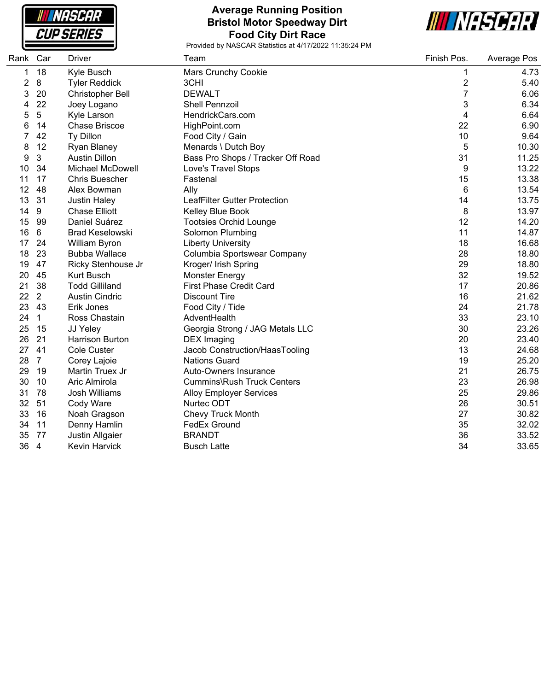**NASCAR CUP SERIES** 

#### **Average Running Position Bristol Motor Speedway Dirt Food City Dirt Race**



| Rank Car       |                | <b>Driver</b>           | Team                              | Finish Pos.             | Average Pos |
|----------------|----------------|-------------------------|-----------------------------------|-------------------------|-------------|
| 1              | 18             | Kyle Busch              | <b>Mars Crunchy Cookie</b>        | 1                       | 4.73        |
| $\overline{2}$ | 8              | <b>Tyler Reddick</b>    | 3CHI                              | $\overline{\mathbf{c}}$ | 5.40        |
| 3              | 20             | <b>Christopher Bell</b> | <b>DEWALT</b>                     | $\overline{7}$          | 6.06        |
| 4              | 22             | Joey Logano             | Shell Pennzoil                    | 3                       | 6.34        |
| 5              | $\sqrt{5}$     | Kyle Larson             | HendrickCars.com                  | 4                       | 6.64        |
| 6              | 14             | <b>Chase Briscoe</b>    | HighPoint.com                     | 22                      | 6.90        |
| 7              | 42             | Ty Dillon               | Food City / Gain                  | 10                      | 9.64        |
| 8              | 12             | Ryan Blaney             | Menards \ Dutch Boy               | 5                       | 10.30       |
| 9              | 3              | <b>Austin Dillon</b>    | Bass Pro Shops / Tracker Off Road | 31                      | 11.25       |
| 10             | 34             | <b>Michael McDowell</b> | Love's Travel Stops               | 9                       | 13.22       |
| 11             | 17             | <b>Chris Buescher</b>   | Fastenal                          | 15                      | 13.38       |
| 12             | 48             | Alex Bowman             | Ally                              | 6                       | 13.54       |
| 13             | 31             | <b>Justin Haley</b>     | LeafFilter Gutter Protection      | 14                      | 13.75       |
| 14             | 9              | <b>Chase Elliott</b>    | Kelley Blue Book                  | 8                       | 13.97       |
| 15             | 99             | Daniel Suárez           | <b>Tootsies Orchid Lounge</b>     | 12                      | 14.20       |
| 16             | 6              | <b>Brad Keselowski</b>  | Solomon Plumbing                  | 11                      | 14.87       |
| 17             | 24             | William Byron           | <b>Liberty University</b>         | 18                      | 16.68       |
| 18             | 23             | <b>Bubba Wallace</b>    | Columbia Sportswear Company       | 28                      | 18.80       |
| 19             | 47             | Ricky Stenhouse Jr      | Kroger/ Irish Spring              | 29                      | 18.80       |
| 20             | 45             | Kurt Busch              | <b>Monster Energy</b>             | 32                      | 19.52       |
| 21             | 38             | <b>Todd Gilliland</b>   | <b>First Phase Credit Card</b>    | 17                      | 20.86       |
| 22             | $\overline{2}$ | <b>Austin Cindric</b>   | <b>Discount Tire</b>              | 16                      | 21.62       |
| 23             | 43             | Erik Jones              | Food City / Tide                  | 24                      | 21.78       |
| 24             | $\mathbf{1}$   | Ross Chastain           | AdventHealth                      | 33                      | 23.10       |
| 25             | 15             | JJ Yeley                | Georgia Strong / JAG Metals LLC   | 30                      | 23.26       |
| 26             | 21             | <b>Harrison Burton</b>  | <b>DEX Imaging</b>                | 20                      | 23.40       |
| 27             | 41             | <b>Cole Custer</b>      | Jacob Construction/HaasTooling    | 13                      | 24.68       |
| 28             | $\overline{7}$ | Corey Lajoie            | <b>Nations Guard</b>              | 19                      | 25.20       |
| 29             | 19             | Martin Truex Jr         | <b>Auto-Owners Insurance</b>      | 21                      | 26.75       |
| 30             | 10             | Aric Almirola           | <b>Cummins\Rush Truck Centers</b> | 23                      | 26.98       |
| 31             | 78             | <b>Josh Williams</b>    | <b>Alloy Employer Services</b>    | 25                      | 29.86       |
| 32             | 51             | Cody Ware               | Nurtec ODT                        | 26                      | 30.51       |
| 33             | 16             | Noah Gragson            | <b>Chevy Truck Month</b>          | 27                      | 30.82       |
| 34             | 11             | Denny Hamlin            | FedEx Ground                      | 35                      | 32.02       |
| 35             | 77             | Justin Allgaier         | <b>BRANDT</b>                     | 36                      | 33.52       |
| 36             | 4              | Kevin Harvick           | <b>Busch Latte</b>                | 34                      | 33.65       |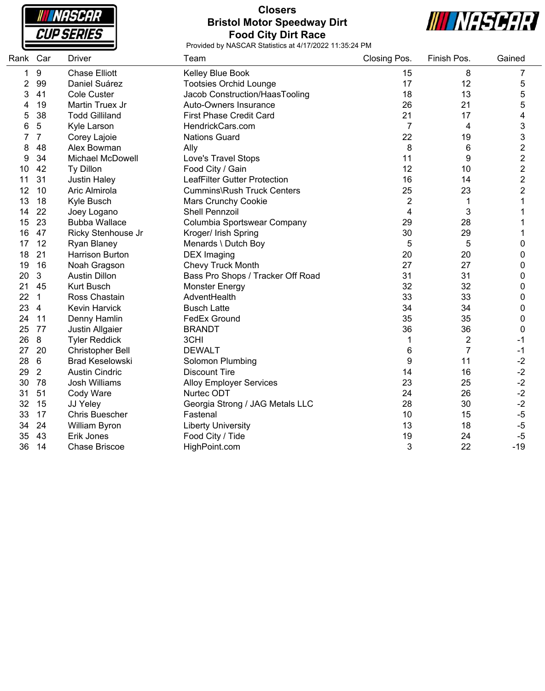**INASCAR CUP SERIES** 

#### **Closers Bristol Motor Speedway Dirt Food City Dirt Race**



| Rank           | Car             | Driver                  | Team                              | Closing Pos.   | Finish Pos.             | Gained                  |
|----------------|-----------------|-------------------------|-----------------------------------|----------------|-------------------------|-------------------------|
| 1              | 9               | <b>Chase Elliott</b>    | Kelley Blue Book                  | 15             | 8                       | 7                       |
| $\overline{c}$ | 99              | Daniel Suárez           | <b>Tootsies Orchid Lounge</b>     | 17             | 12                      | 5                       |
| 3              | 41              | <b>Cole Custer</b>      | Jacob Construction/HaasTooling    | 18             | 13                      | 5                       |
| 4              | 19              | Martin Truex Jr         | Auto-Owners Insurance             | 26             | 21                      | 5                       |
| 5              | 38              | <b>Todd Gilliland</b>   | <b>First Phase Credit Card</b>    | 21             | 17                      | 4                       |
| 6              | 5               | Kyle Larson             | HendrickCars.com                  | $\overline{7}$ | 4                       | 3                       |
|                | $\overline{7}$  | Corey Lajoie            | <b>Nations Guard</b>              | 22             | 19                      | 3                       |
| 8              | 48              | Alex Bowman             | Ally                              | 8              | 6                       | $\overline{\mathbf{c}}$ |
| 9              | 34              | Michael McDowell        | Love's Travel Stops               | 11             | 9                       | $\overline{\mathbf{c}}$ |
| 10             | 42              | Ty Dillon               | Food City / Gain                  | 12             | 10                      | $\overline{\mathbf{c}}$ |
| 11             | 31              | <b>Justin Haley</b>     | LeafFilter Gutter Protection      | 16             | 14                      | $\overline{c}$          |
| 12             | 10              | Aric Almirola           | <b>Cummins\Rush Truck Centers</b> | 25             | 23                      | $\overline{c}$          |
| 13             | 18              | Kyle Busch              | Mars Crunchy Cookie               | $\overline{2}$ | 1                       | 1                       |
| 14             | 22              | Joey Logano             | <b>Shell Pennzoil</b>             | 4              | 3                       | 1                       |
| 15             | 23              | <b>Bubba Wallace</b>    | Columbia Sportswear Company       | 29             | 28                      | 1                       |
| 16             | 47              | Ricky Stenhouse Jr      | Kroger/ Irish Spring              | 30             | 29                      | 1                       |
| 17             | 12              | Ryan Blaney             | Menards \ Dutch Boy               | 5              | 5                       | 0                       |
| 18             | 21              | <b>Harrison Burton</b>  | <b>DEX</b> Imaging                | 20             | 20                      | 0                       |
| 19             | 16              | Noah Gragson            | Chevy Truck Month                 | 27             | 27                      | 0                       |
| 20             | 3               | <b>Austin Dillon</b>    | Bass Pro Shops / Tracker Off Road | 31             | 31                      | 0                       |
| 21             | 45              | <b>Kurt Busch</b>       | <b>Monster Energy</b>             | 32             | 32                      | 0                       |
| 22             | $\mathbf 1$     | Ross Chastain           | AdventHealth                      | 33             | 33                      | 0                       |
| 23             | $\overline{4}$  | Kevin Harvick           | <b>Busch Latte</b>                | 34             | 34                      | 0                       |
| 24             | 11              | Denny Hamlin            | <b>FedEx Ground</b>               | 35             | 35                      | 0                       |
| 25             | 77              | Justin Allgaier         | <b>BRANDT</b>                     | 36             | 36                      | 0                       |
| 26             | 8               | <b>Tyler Reddick</b>    | 3CHI                              | 1              | $\overline{\mathbf{c}}$ | $-1$                    |
| 27             | 20              | <b>Christopher Bell</b> | <b>DEWALT</b>                     | 6              | $\overline{7}$          | $-1$                    |
| 28             | $6\phantom{1}6$ | <b>Brad Keselowski</b>  | Solomon Plumbing                  | 9              | 11                      | $-2$                    |
| 29             | $\overline{2}$  | <b>Austin Cindric</b>   | <b>Discount Tire</b>              | 14             | 16                      | $-2$                    |
| 30             | 78              | <b>Josh Williams</b>    | <b>Alloy Employer Services</b>    | 23             | 25                      | $-2$                    |
| 31             | 51              | Cody Ware               | Nurtec ODT                        | 24             | 26                      | $-2$                    |
| 32             | 15              | JJ Yeley                | Georgia Strong / JAG Metals LLC   | 28             | 30                      | $-2$                    |
| 33             | 17              | <b>Chris Buescher</b>   | Fastenal                          | 10             | 15                      | $-5$                    |
| 34             | 24              | William Byron           | <b>Liberty University</b>         | 13             | 18                      | $-5$                    |
| 35             | 43              | Erik Jones              | Food City / Tide                  | 19             | 24                      | $-5$                    |
| 36             | 14              | <b>Chase Briscoe</b>    | HighPoint.com                     | 3              | 22                      | $-19$                   |
|                |                 |                         |                                   |                |                         |                         |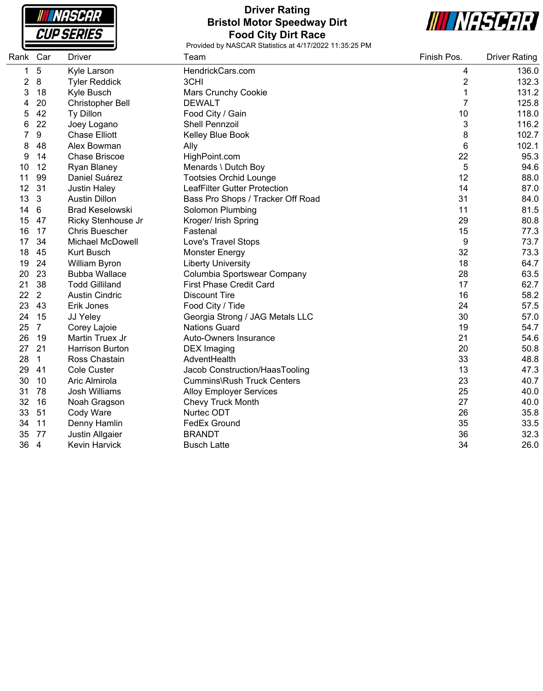

## **Driver Rating Bristol Motor Speedway Dirt Food City Dirt Race**



| Rank | Car            | Driver                  | Team                              | Finish Pos.    | <b>Driver Rating</b> |
|------|----------------|-------------------------|-----------------------------------|----------------|----------------------|
| 1    | 5              | Kyle Larson             | HendrickCars.com                  | 4              | 136.0                |
| 2    | 8              | <b>Tyler Reddick</b>    | 3CHI                              | $\overline{2}$ | 132.3                |
| 3    | 18             | Kyle Busch              | Mars Crunchy Cookie               | 1              | 131.2                |
| 4    | 20             | <b>Christopher Bell</b> | <b>DEWALT</b>                     | $\overline{7}$ | 125.8                |
| 5    | 42             | Ty Dillon               | Food City / Gain                  | 10             | 118.0                |
| 6    | 22             | Joey Logano             | <b>Shell Pennzoil</b>             | 3              | 116.2                |
|      | 9              | <b>Chase Elliott</b>    | Kelley Blue Book                  | 8              | 102.7                |
| 8    | 48             | Alex Bowman             | Ally                              | 6              | 102.1                |
| 9    | 14             | <b>Chase Briscoe</b>    | HighPoint.com                     | 22             | 95.3                 |
| 10   | 12             | <b>Ryan Blaney</b>      | Menards \ Dutch Boy               | 5              | 94.6                 |
| 11   | 99             | Daniel Suárez           | <b>Tootsies Orchid Lounge</b>     | 12             | 88.0                 |
| 12   | 31             | <b>Justin Haley</b>     | LeafFilter Gutter Protection      | 14             | 87.0                 |
| 13   | 3              | <b>Austin Dillon</b>    | Bass Pro Shops / Tracker Off Road | 31             | 84.0                 |
| 14   | 6              | <b>Brad Keselowski</b>  | Solomon Plumbing                  | 11             | 81.5                 |
| 15   | 47             | Ricky Stenhouse Jr      | Kroger/ Irish Spring              | 29             | 80.8                 |
| 16   | 17             | <b>Chris Buescher</b>   | Fastenal                          | 15             | 77.3                 |
| 17   | 34             | <b>Michael McDowell</b> | Love's Travel Stops               | 9              | 73.7                 |
| 18   | 45             | Kurt Busch              | <b>Monster Energy</b>             | 32             | 73.3                 |
| 19   | 24             | William Byron           | <b>Liberty University</b>         | 18             | 64.7                 |
| 20   | 23             | <b>Bubba Wallace</b>    | Columbia Sportswear Company       | 28             | 63.5                 |
| 21   | 38             | <b>Todd Gilliland</b>   | <b>First Phase Credit Card</b>    | 17             | 62.7                 |
| 22   | $\overline{2}$ | <b>Austin Cindric</b>   | <b>Discount Tire</b>              | 16             | 58.2                 |
| 23   | 43             | Erik Jones              | Food City / Tide                  | 24             | 57.5                 |
| 24   | 15             | JJ Yeley                | Georgia Strong / JAG Metals LLC   | 30             | 57.0                 |
| 25   | $\overline{7}$ | Corey Lajoie            | <b>Nations Guard</b>              | 19             | 54.7                 |
| 26   | 19             | Martin Truex Jr         | Auto-Owners Insurance             | 21             | 54.6                 |
| 27   | 21             | <b>Harrison Burton</b>  | <b>DEX</b> Imaging                | 20             | 50.8                 |
| 28   | $\mathbf{1}$   | Ross Chastain           | AdventHealth                      | 33             | 48.8                 |
| 29   | 41             | <b>Cole Custer</b>      | Jacob Construction/HaasTooling    | 13             | 47.3                 |
| 30   | 10             | Aric Almirola           | <b>Cummins\Rush Truck Centers</b> | 23             | 40.7                 |
| 31   | 78             | Josh Williams           | <b>Alloy Employer Services</b>    | 25             | 40.0                 |
| 32   | 16             | Noah Gragson            | <b>Chevy Truck Month</b>          | 27             | 40.0                 |
| 33   | 51             | Cody Ware               | Nurtec ODT                        | 26             | 35.8                 |
| 34   | 11             | Denny Hamlin            | <b>FedEx Ground</b>               | 35             | 33.5                 |
| 35   | 77             | Justin Allgaier         | <b>BRANDT</b>                     | 36             | 32.3                 |
| 36   | $\overline{4}$ | Kevin Harvick           | <b>Busch Latte</b>                | 34             | 26.0                 |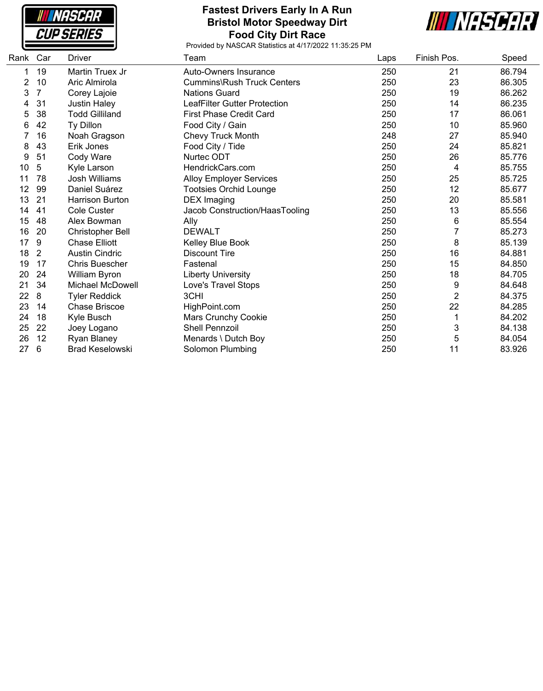**NASCAR CUP SERIES** 

#### **Fastest Drivers Early In A Run Bristol Motor Speedway Dirt Food City Dirt Race**



| Rank | Car            | Driver                  | Team                                | Laps | Finish Pos.    | Speed  |
|------|----------------|-------------------------|-------------------------------------|------|----------------|--------|
| 1    | 19             | Martin Truex Jr         | <b>Auto-Owners Insurance</b>        | 250  | 21             | 86.794 |
| 2    | 10             | Aric Almirola           | <b>Cummins\Rush Truck Centers</b>   | 250  | 23             | 86.305 |
| 3    | 7              | Corey Lajoie            | <b>Nations Guard</b>                | 250  | 19             | 86.262 |
| 4    | 31             | <b>Justin Haley</b>     | <b>LeafFilter Gutter Protection</b> | 250  | 14             | 86.235 |
| 5    | 38             | <b>Todd Gilliland</b>   | <b>First Phase Credit Card</b>      | 250  | 17             | 86.061 |
| 6    | 42             | Ty Dillon               | Food City / Gain                    | 250  | 10             | 85.960 |
| 7    | 16             | Noah Gragson            | <b>Chevy Truck Month</b>            | 248  | 27             | 85.940 |
| 8    | 43             | Erik Jones              | Food City / Tide                    | 250  | 24             | 85.821 |
| 9    | 51             | Cody Ware               | Nurtec ODT                          | 250  | 26             | 85.776 |
| 10   | 5              | Kyle Larson             | HendrickCars.com                    | 250  | 4              | 85.755 |
| 11   | 78             | <b>Josh Williams</b>    | <b>Alloy Employer Services</b>      | 250  | 25             | 85.725 |
| 12   | 99             | Daniel Suárez           | <b>Tootsies Orchid Lounge</b>       | 250  | 12             | 85.677 |
| 13   | 21             | <b>Harrison Burton</b>  | <b>DEX Imaging</b>                  | 250  | 20             | 85.581 |
| 14   | 41             | <b>Cole Custer</b>      | Jacob Construction/HaasTooling      | 250  | 13             | 85.556 |
| 15   | 48             | Alex Bowman             | Ally                                | 250  | 6              | 85.554 |
| 16   | 20             | <b>Christopher Bell</b> | <b>DEWALT</b>                       | 250  | 7              | 85.273 |
| 17   | 9              | <b>Chase Elliott</b>    | Kelley Blue Book                    | 250  | 8              | 85.139 |
| 18   | $\overline{2}$ | <b>Austin Cindric</b>   | <b>Discount Tire</b>                | 250  | 16             | 84.881 |
| 19   | 17             | <b>Chris Buescher</b>   | Fastenal                            | 250  | 15             | 84.850 |
| 20   | 24             | William Byron           | <b>Liberty University</b>           | 250  | 18             | 84.705 |
| 21   | 34             | <b>Michael McDowell</b> | Love's Travel Stops                 | 250  | 9              | 84.648 |
| 22   | 8              | <b>Tyler Reddick</b>    | 3CHI                                | 250  | $\overline{2}$ | 84.375 |
| 23   | 14             | <b>Chase Briscoe</b>    | HighPoint.com                       | 250  | 22             | 84.285 |
| 24   | 18             | Kyle Busch              | <b>Mars Crunchy Cookie</b>          | 250  | 1              | 84.202 |
| 25   | 22             | Joey Logano             | Shell Pennzoil                      | 250  | 3              | 84.138 |
| 26   | 12             | Ryan Blaney             | Menards \ Dutch Boy                 | 250  | 5              | 84.054 |
| 27   | 6              | <b>Brad Keselowski</b>  | Solomon Plumbing                    | 250  | 11             | 83.926 |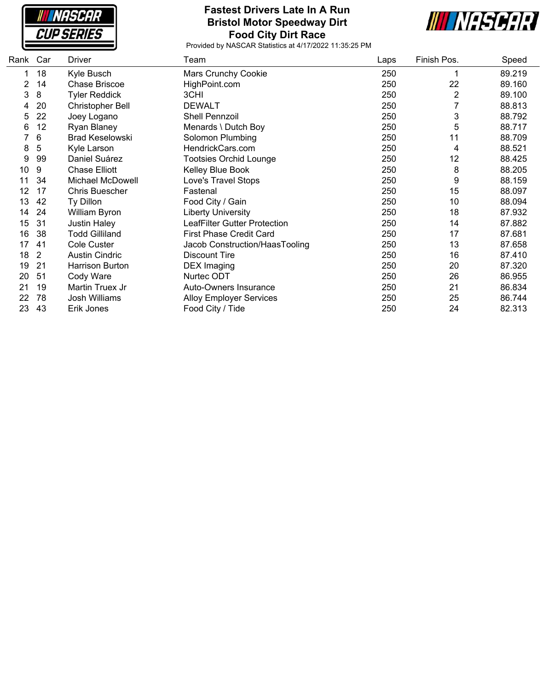**NASCAR CUP SERIES** 

## **Fastest Drivers Late In A Run Bristol Motor Speedway Dirt Food City Dirt Race**



| Rank | Car            | <b>Driver</b>           | Team                           | Laps | Finish Pos. | Speed  |
|------|----------------|-------------------------|--------------------------------|------|-------------|--------|
| 1.   | 18             | Kyle Busch              | Mars Crunchy Cookie            | 250  |             | 89.219 |
| 2    | 14             | <b>Chase Briscoe</b>    | HighPoint.com                  | 250  | 22          | 89.160 |
| 3    | 8              | <b>Tyler Reddick</b>    | 3CHI                           | 250  | 2           | 89.100 |
| 4    | 20             | <b>Christopher Bell</b> | <b>DEWALT</b>                  | 250  |             | 88.813 |
| 5    | 22             | Joey Logano             | Shell Pennzoil                 | 250  | 3           | 88.792 |
| 6    | 12             | Ryan Blaney             | Menards \ Dutch Boy            | 250  | 5           | 88.717 |
|      | 6              | <b>Brad Keselowski</b>  | Solomon Plumbing               | 250  | 11          | 88.709 |
| 8    | 5              | Kyle Larson             | HendrickCars.com               | 250  | 4           | 88.521 |
| 9    | 99             | Daniel Suárez           | <b>Tootsies Orchid Lounge</b>  | 250  | 12          | 88.425 |
| 10   | 9              | <b>Chase Elliott</b>    | Kelley Blue Book               | 250  | 8           | 88.205 |
| 11   | 34             | Michael McDowell        | Love's Travel Stops            | 250  | 9           | 88.159 |
| 12   | 17             | <b>Chris Buescher</b>   | Fastenal                       | 250  | 15          | 88.097 |
| 13   | 42             | Ty Dillon               | Food City / Gain               | 250  | 10          | 88.094 |
| 14   | 24             | William Byron           | <b>Liberty University</b>      | 250  | 18          | 87.932 |
| 15   | 31             | <b>Justin Haley</b>     | LeafFilter Gutter Protection   | 250  | 14          | 87.882 |
| 16   | 38             | <b>Todd Gilliland</b>   | <b>First Phase Credit Card</b> | 250  | 17          | 87.681 |
| 17   | 41             | Cole Custer             | Jacob Construction/HaasTooling | 250  | 13          | 87.658 |
| 18   | $\overline{2}$ | <b>Austin Cindric</b>   | <b>Discount Tire</b>           | 250  | 16          | 87.410 |
| 19   | 21             | Harrison Burton         | <b>DEX Imaging</b>             | 250  | 20          | 87.320 |
| 20   | 51             | Cody Ware               | Nurtec ODT                     | 250  | 26          | 86.955 |
| 21   | 19             | Martin Truex Jr         | Auto-Owners Insurance          | 250  | 21          | 86.834 |
| 22   | 78             | <b>Josh Williams</b>    | <b>Alloy Employer Services</b> | 250  | 25          | 86.744 |
| 23   | 43             | Erik Jones              | Food City / Tide               | 250  | 24          | 82.313 |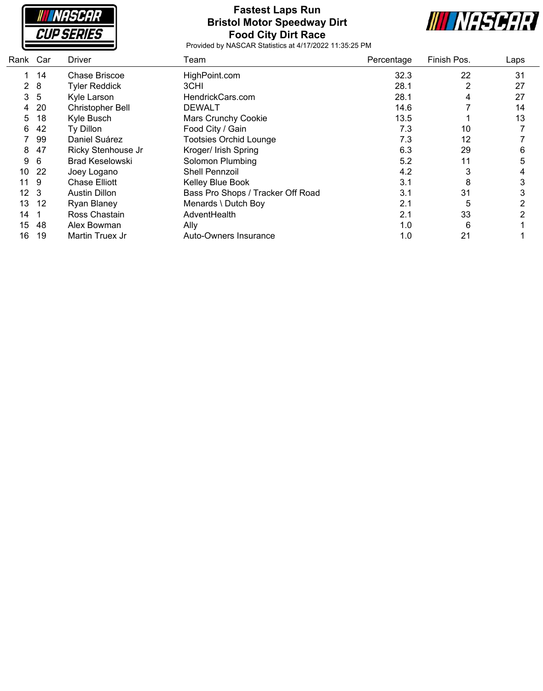**NASCAR CUP SERIES** 

## **Fastest Laps Run Bristol Motor Speedway Dirt Food City Dirt Race**



| Rank<br>Car | <b>Driver</b>           | Team                              | Percentage | Finish Pos. | Laps |
|-------------|-------------------------|-----------------------------------|------------|-------------|------|
| 14          | Chase Briscoe           | HighPoint.com                     | 32.3       | 22          | 31   |
| 8           | <b>Tyler Reddick</b>    | 3CHI                              | 28.1       | 2           | 27   |
| 5           | Kyle Larson             | HendrickCars.com                  | 28.1       | 4           | 27   |
| 20          | <b>Christopher Bell</b> | DEWALT                            | 14.6       |             | 14   |
| 18          | Kyle Busch              | <b>Mars Crunchy Cookie</b>        | 13.5       |             | 13   |
| 42          | Ty Dillon               | Food City / Gain                  | 7.3        | 10          |      |
| 99          | Daniel Suárez           | <b>Tootsies Orchid Lounge</b>     | 7.3        | 12          |      |
| 47          | Ricky Stenhouse Jr      | Kroger/ Irish Spring              | 6.3        | 29          | 6    |
| 6           | <b>Brad Keselowski</b>  | <b>Solomon Plumbing</b>           | 5.2        | 11          | 5    |
| 22          | Joey Logano             | Shell Pennzoil                    | 4.2        | 3           | 4    |
| 9           | Chase Elliott           | Kelley Blue Book                  | 3.1        | 8           | 3    |
| 3           | <b>Austin Dillon</b>    | Bass Pro Shops / Tracker Off Road | 3.1        | 31          | 3    |
| 12          | <b>Ryan Blaney</b>      | Menards \ Dutch Boy               | 2.1        | 5           |      |
|             | Ross Chastain           | AdventHealth                      | 2.1        | 33          |      |
| -48         | Alex Bowman             | Ally                              | 1.0        | 6           |      |
| 19          | Martin Truex Jr         | Auto-Owners Insurance             | 1.0        | 21          |      |
|             |                         |                                   |            |             |      |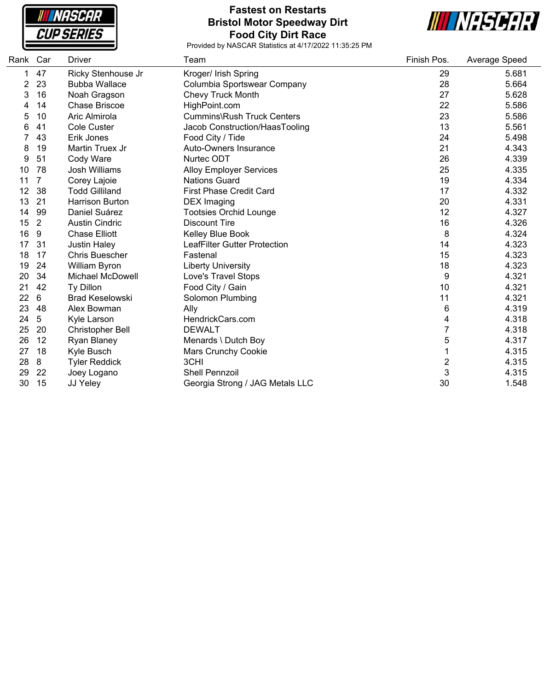**NASCAR CUP SERIES** 

#### **Fastest on Restarts Bristol Motor Speedway Dirt Food City Dirt Race**



and a

| Rank Car |                | <b>Driver</b>          | Team                              | Finish Pos.    | Average Speed |
|----------|----------------|------------------------|-----------------------------------|----------------|---------------|
| 1        | 47             | Ricky Stenhouse Jr     | Kroger/ Irish Spring              | 29             | 5.681         |
| 2        | 23             | <b>Bubba Wallace</b>   | Columbia Sportswear Company       | 28             | 5.664         |
| 3        | 16             | Noah Gragson           | Chevy Truck Month                 | 27             | 5.628         |
| 4        | 14             | <b>Chase Briscoe</b>   | HighPoint.com                     | 22             | 5.586         |
| 5        | 10             | Aric Almirola          | <b>Cummins\Rush Truck Centers</b> | 23             | 5.586         |
| 6        | 41             | <b>Cole Custer</b>     | Jacob Construction/HaasTooling    | 13             | 5.561         |
| 7        | 43             | Erik Jones             | Food City / Tide                  | 24             | 5.498         |
| 8        | 19             | Martin Truex Jr        | Auto-Owners Insurance             | 21             | 4.343         |
| 9        | 51             | Cody Ware              | Nurtec ODT                        | 26             | 4.339         |
| 10       | 78             | Josh Williams          | <b>Alloy Employer Services</b>    | 25             | 4.335         |
| 11       | 7              | Corey Lajoie           | <b>Nations Guard</b>              | 19             | 4.334         |
| 12       | 38             | <b>Todd Gilliland</b>  | First Phase Credit Card           | 17             | 4.332         |
| 13       | 21             | <b>Harrison Burton</b> | <b>DEX</b> Imaging                | 20             | 4.331         |
| 14       | 99             | Daniel Suárez          | <b>Tootsies Orchid Lounge</b>     | 12             | 4.327         |
| 15       | $\overline{2}$ | <b>Austin Cindric</b>  | <b>Discount Tire</b>              | 16             | 4.326         |
| 16       | 9              | <b>Chase Elliott</b>   | Kelley Blue Book                  | 8              | 4.324         |
| 17       | 31             | <b>Justin Haley</b>    | LeafFilter Gutter Protection      | 14             | 4.323         |
| 18       | 17             | <b>Chris Buescher</b>  | Fastenal                          | 15             | 4.323         |
| 19       | 24             | William Byron          | <b>Liberty University</b>         | 18             | 4.323         |
| 20       | 34             | Michael McDowell       | Love's Travel Stops               | 9              | 4.321         |
| 21       | 42             | Ty Dillon              | Food City / Gain                  | 10             | 4.321         |
| 22       | 6              | <b>Brad Keselowski</b> | Solomon Plumbing                  | 11             | 4.321         |
| 23       | 48             | Alex Bowman            | Ally                              | 6              | 4.319         |
| 24       | 5              | Kyle Larson            | HendrickCars.com                  | 4              | 4.318         |
| 25       | 20             | Christopher Bell       | <b>DEWALT</b>                     | 7              | 4.318         |
| 26       | 12             | Ryan Blaney            | Menards \ Dutch Boy               | 5              | 4.317         |
| 27       | 18             | Kyle Busch             | <b>Mars Crunchy Cookie</b>        | 1              | 4.315         |
| 28       | 8              | <b>Tyler Reddick</b>   | 3CHI                              | $\overline{c}$ | 4.315         |
| 29       | 22             | Joey Logano            | <b>Shell Pennzoil</b>             | 3              | 4.315         |
| 30       | 15             | JJ Yeley               | Georgia Strong / JAG Metals LLC   | 30             | 1.548         |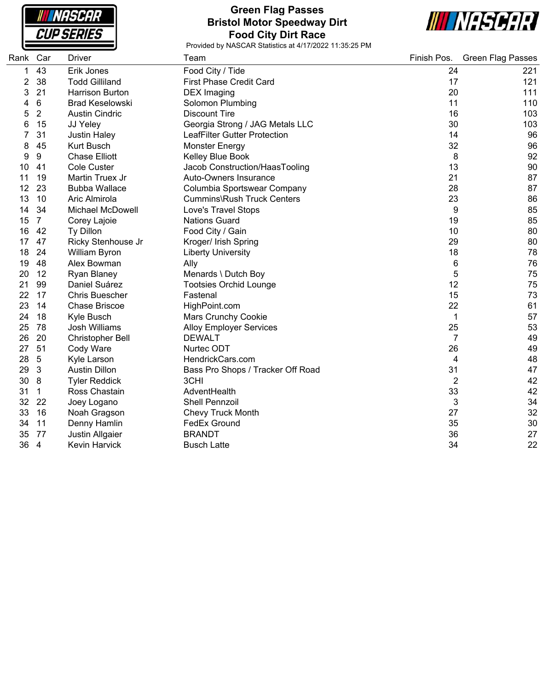**NASCAR CUP SERIES** 

#### **Green Flag Passes Bristol Motor Speedway Dirt Food City Dirt Race**

**III NASCAR** 

| Rank Car |                | Driver                  | Team                                | Finish Pos. | Green Flag Passes |
|----------|----------------|-------------------------|-------------------------------------|-------------|-------------------|
| 1        | 43             | Erik Jones              | Food City / Tide                    | 24          | 221               |
| 2        | 38             | <b>Todd Gilliland</b>   | <b>First Phase Credit Card</b>      | 17          | 121               |
| 3        | 21             | <b>Harrison Burton</b>  | <b>DEX</b> Imaging                  | 20          | 111               |
| 4        | 6              | <b>Brad Keselowski</b>  | Solomon Plumbing                    | 11          | 110               |
| 5        | $\overline{2}$ | <b>Austin Cindric</b>   | <b>Discount Tire</b>                | 16          | 103               |
| 6        | 15             | JJ Yeley                | Georgia Strong / JAG Metals LLC     | 30          | 103               |
|          | 31             | <b>Justin Haley</b>     | <b>LeafFilter Gutter Protection</b> | 14          | 96                |
| 8        | 45             | <b>Kurt Busch</b>       | Monster Energy                      | 32          | 96                |
| 9        | 9              | <b>Chase Elliott</b>    | Kelley Blue Book                    | 8           | 92                |
| 10       | 41             | <b>Cole Custer</b>      | Jacob Construction/HaasTooling      | 13          | 90                |
| 11       | 19             | Martin Truex Jr         | Auto-Owners Insurance               | 21          | 87                |
| 12       | 23             | <b>Bubba Wallace</b>    | Columbia Sportswear Company         | 28          | 87                |
| 13       | 10             | Aric Almirola           | <b>Cummins\Rush Truck Centers</b>   | 23          | 86                |
| 14       | 34             | <b>Michael McDowell</b> | Love's Travel Stops                 | 9           | 85                |
| 15       | $\overline{7}$ | Corey Lajoie            | <b>Nations Guard</b>                | 19          | 85                |
| 16       | 42             | Ty Dillon               | Food City / Gain                    | 10          | 80                |
| 17       | 47             | Ricky Stenhouse Jr      | Kroger/ Irish Spring                | 29          | 80                |
| 18       | 24             | William Byron           | <b>Liberty University</b>           | 18          | 78                |
| 19       | 48             | Alex Bowman             | Ally                                | 6           | 76                |
| 20       | 12             | <b>Ryan Blaney</b>      | Menards \ Dutch Boy                 | 5           | 75                |
| 21       | 99             | Daniel Suárez           | <b>Tootsies Orchid Lounge</b>       | 12          | 75                |
| 22       | 17             | <b>Chris Buescher</b>   | Fastenal                            | 15          | 73                |
| 23       | 14             | <b>Chase Briscoe</b>    | HighPoint.com                       | 22          | 61                |
| 24       | 18             | Kyle Busch              | <b>Mars Crunchy Cookie</b>          | 1           | 57                |
| 25       | 78             | Josh Williams           | <b>Alloy Employer Services</b>      | 25          | 53                |
| 26       | 20             | Christopher Bell        | <b>DEWALT</b>                       | 7           | 49                |
| 27       | 51             | Cody Ware               | Nurtec ODT                          | 26          | 49                |
| 28       | 5              | Kyle Larson             | HendrickCars.com                    | 4           | 48                |
| 29       | 3              | <b>Austin Dillon</b>    | Bass Pro Shops / Tracker Off Road   | 31          | 47                |
| 30       | 8              | <b>Tyler Reddick</b>    | 3CHI                                | 2           | 42                |
| 31       | 1              | Ross Chastain           | AdventHealth                        | 33          | 42                |
| 32       | 22             | Joey Logano             | Shell Pennzoil                      | 3           | 34                |
| 33       | 16             | Noah Gragson            | <b>Chevy Truck Month</b>            | 27          | 32                |
| 34       | 11             | Denny Hamlin            | <b>FedEx Ground</b>                 | 35          | 30                |
| 35       | 77             | Justin Allgaier         | <b>BRANDT</b>                       | 36          | 27                |
| 36       | $\overline{4}$ | Kevin Harvick           | <b>Busch Latte</b>                  | 34          | 22                |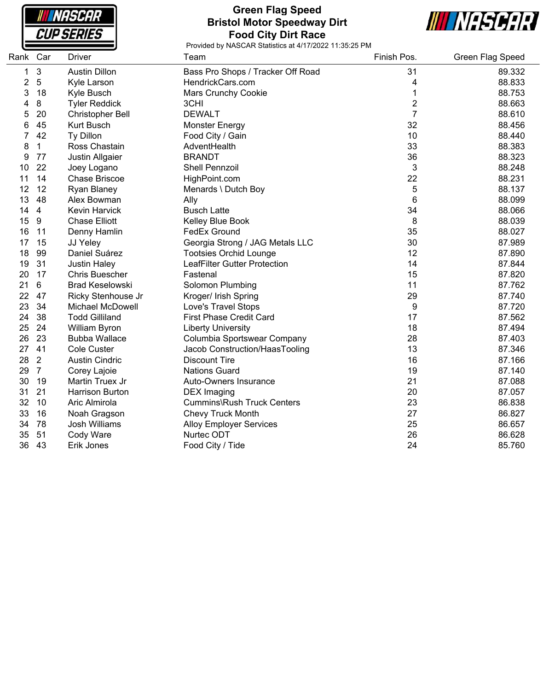**NASCAR CUP SERIES** 

#### **Green Flag Speed Bristol Motor Speedway Dirt Food City Dirt Race**



e e

| Rank | Car              | Driver                  | Team                              | Finish Pos.    | Green Flag Speed |
|------|------------------|-------------------------|-----------------------------------|----------------|------------------|
| 1    | $\mathbf{3}$     | <b>Austin Dillon</b>    | Bass Pro Shops / Tracker Off Road | 31             | 89.332           |
| 2    | $5\,$            | Kyle Larson             | HendrickCars.com                  | 4              | 88.833           |
| 3    | 18               | Kyle Busch              | Mars Crunchy Cookie               | 1              | 88.753           |
| 4    | 8                | <b>Tyler Reddick</b>    | 3CHI                              | $\overline{c}$ | 88.663           |
| 5    | 20               | <b>Christopher Bell</b> | <b>DEWALT</b>                     | $\overline{7}$ | 88.610           |
| 6    | 45               | Kurt Busch              | <b>Monster Energy</b>             | 32             | 88.456           |
| 7    | 42               | Ty Dillon               | Food City / Gain                  | 10             | 88.440           |
| 8    | 1                | Ross Chastain           | AdventHealth                      | 33             | 88.383           |
| 9    | 77               | Justin Allgaier         | <b>BRANDT</b>                     | 36             | 88.323           |
| 10   | 22               | Joey Logano             | Shell Pennzoil                    | 3              | 88.248           |
| 11   | 14               | <b>Chase Briscoe</b>    | HighPoint.com                     | 22             | 88.231           |
| 12   | 12               | Ryan Blaney             | Menards \ Dutch Boy               | 5              | 88.137           |
| 13   | 48               | Alex Bowman             | Ally                              | 6              | 88.099           |
| 14   | $\overline{4}$   | <b>Kevin Harvick</b>    | <b>Busch Latte</b>                | 34             | 88.066           |
| 15   | $\boldsymbol{9}$ | <b>Chase Elliott</b>    | Kelley Blue Book                  | 8              | 88.039           |
| 16   | 11               | Denny Hamlin            | <b>FedEx Ground</b>               | 35             | 88.027           |
| 17   | 15               | JJ Yeley                | Georgia Strong / JAG Metals LLC   | 30             | 87.989           |
| 18   | 99               | Daniel Suárez           | <b>Tootsies Orchid Lounge</b>     | 12             | 87.890           |
| 19   | 31               | <b>Justin Haley</b>     | LeafFilter Gutter Protection      | 14             | 87.844           |
| 20   | 17               | <b>Chris Buescher</b>   | Fastenal                          | 15             | 87.820           |
| 21   | 6                | <b>Brad Keselowski</b>  | <b>Solomon Plumbing</b>           | 11             | 87.762           |
| 22   | 47               | Ricky Stenhouse Jr      | Kroger/ Irish Spring              | 29             | 87.740           |
| 23   | 34               | <b>Michael McDowell</b> | Love's Travel Stops               | 9              | 87.720           |
| 24   | 38               | <b>Todd Gilliland</b>   | First Phase Credit Card           | 17             | 87.562           |
| 25   | 24               | William Byron           | <b>Liberty University</b>         | 18             | 87.494           |
| 26   | 23               | <b>Bubba Wallace</b>    | Columbia Sportswear Company       | 28             | 87.403           |
| 27   | 41               | <b>Cole Custer</b>      | Jacob Construction/HaasTooling    | 13             | 87.346           |
| 28   | $\overline{2}$   | <b>Austin Cindric</b>   | <b>Discount Tire</b>              | 16             | 87.166           |
| 29   | $\overline{7}$   | Corey Lajoie            | <b>Nations Guard</b>              | 19             | 87.140           |
| 30   | 19               | Martin Truex Jr         | Auto-Owners Insurance             | 21             | 87.088           |
| 31   | 21               | Harrison Burton         | <b>DEX</b> Imaging                | 20             | 87.057           |
| 32   | 10               | Aric Almirola           | Cummins\Rush Truck Centers        | 23             | 86.838           |
| 33   | 16               | Noah Gragson            | <b>Chevy Truck Month</b>          | 27             | 86.827           |
| 34   | 78               | Josh Williams           | <b>Alloy Employer Services</b>    | 25             | 86.657           |
| 35   | 51               | Cody Ware               | Nurtec ODT                        | 26             | 86.628           |
| 36   | 43               | Erik Jones              | Food City / Tide                  | 24             | 85.760           |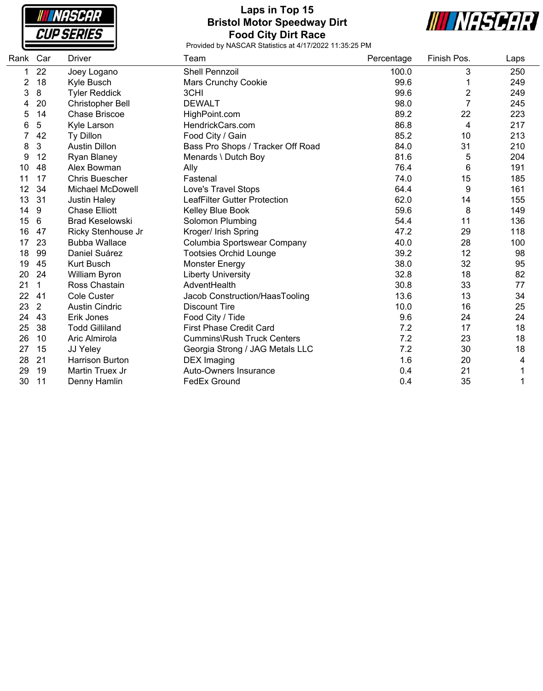**NASCAR CUP SERIES** 

## **Laps in Top 15 Bristol Motor Speedway Dirt Food City Dirt Race**



| Rank | Car            | <b>Driver</b>           | Team                                | Percentage | Finish Pos.    | Laps |
|------|----------------|-------------------------|-------------------------------------|------------|----------------|------|
| 1    | 22             | Joey Logano             | Shell Pennzoil                      | 100.0      | 3              | 250  |
| 2    | 18             | Kyle Busch              | <b>Mars Crunchy Cookie</b>          | 99.6       |                | 249  |
| 3    | 8              | <b>Tyler Reddick</b>    | 3CHI                                | 99.6       | $\overline{c}$ | 249  |
| 4    | 20             | <b>Christopher Bell</b> | <b>DEWALT</b>                       | 98.0       | 7              | 245  |
| 5    | 14             | <b>Chase Briscoe</b>    | HighPoint.com                       | 89.2       | 22             | 223  |
| 6    | 5              | Kyle Larson             | HendrickCars.com                    | 86.8       | 4              | 217  |
|      | 42             | <b>Ty Dillon</b>        | Food City / Gain                    | 85.2       | 10             | 213  |
| 8    | 3              | <b>Austin Dillon</b>    | Bass Pro Shops / Tracker Off Road   | 84.0       | 31             | 210  |
| 9    | 12             | <b>Ryan Blaney</b>      | Menards \ Dutch Boy                 | 81.6       | 5              | 204  |
| 10   | 48             | Alex Bowman             | Ally                                | 76.4       | 6              | 191  |
| 11   | 17             | <b>Chris Buescher</b>   | Fastenal                            | 74.0       | 15             | 185  |
| 12   | 34             | Michael McDowell        | Love's Travel Stops                 | 64.4       | 9              | 161  |
| 13   | 31             | <b>Justin Haley</b>     | <b>LeafFilter Gutter Protection</b> | 62.0       | 14             | 155  |
| 14   | 9              | <b>Chase Elliott</b>    | Kelley Blue Book                    | 59.6       | 8              | 149  |
| 15   | 6              | <b>Brad Keselowski</b>  | Solomon Plumbing                    | 54.4       | 11             | 136  |
| 16   | 47             | Ricky Stenhouse Jr      | Kroger/ Irish Spring                | 47.2       | 29             | 118  |
| 17   | 23             | <b>Bubba Wallace</b>    | Columbia Sportswear Company         | 40.0       | 28             | 100  |
| 18   | 99             | Daniel Suárez           | <b>Tootsies Orchid Lounge</b>       | 39.2       | 12             | 98   |
| 19   | 45             | Kurt Busch              | Monster Energy                      | 38.0       | 32             | 95   |
| 20   | 24             | William Byron           | <b>Liberty University</b>           | 32.8       | 18             | 82   |
| 21   | 1              | Ross Chastain           | AdventHealth                        | 30.8       | 33             | 77   |
| 22   | 41             | <b>Cole Custer</b>      | Jacob Construction/HaasTooling      | 13.6       | 13             | 34   |
| 23   | $\overline{2}$ | <b>Austin Cindric</b>   | <b>Discount Tire</b>                | 10.0       | 16             | 25   |
| 24   | 43             | Erik Jones              | Food City / Tide                    | 9.6        | 24             | 24   |
| 25   | 38             | <b>Todd Gilliland</b>   | <b>First Phase Credit Card</b>      | 7.2        | 17             | 18   |
| 26   | 10             | Aric Almirola           | <b>Cummins\Rush Truck Centers</b>   | 7.2        | 23             | 18   |
| 27   | 15             | JJ Yeley                | Georgia Strong / JAG Metals LLC     | 7.2        | 30             | 18   |
| 28   | 21             | <b>Harrison Burton</b>  | <b>DEX</b> Imaging                  | 1.6        | 20             | 4    |
| 29   | 19             | Martin Truex Jr         | <b>Auto-Owners Insurance</b>        | 0.4        | 21             |      |
| 30   | 11             | Denny Hamlin            | FedEx Ground                        | 0.4        | 35             | 1    |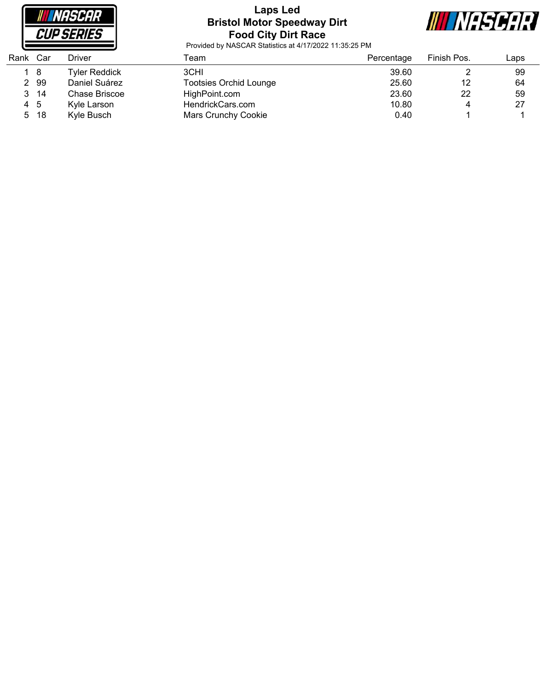

## **Laps Led Bristol Motor Speedway Dirt Food City Dirt Race**



| Rank | Car | Driver               | Геаm                   | Percentage | Finish Pos. | Laps |
|------|-----|----------------------|------------------------|------------|-------------|------|
|      | - 8 | <b>Tyler Reddick</b> | 3CHI                   | 39.60      |             | 99   |
| 2    | -99 | Daniel Suárez        | Tootsies Orchid Lounge | 25.60      | 12          | 64   |
| 3.   | -14 | Chase Briscoe        | HighPoint.com          | 23.60      | 22          | 59   |
| 45   |     | Kyle Larson          | HendrickCars.com       | 10.80      | 4           | 27   |
| 5    | -18 | Kyle Busch           | Mars Crunchy Cookie    | 0.40       |             |      |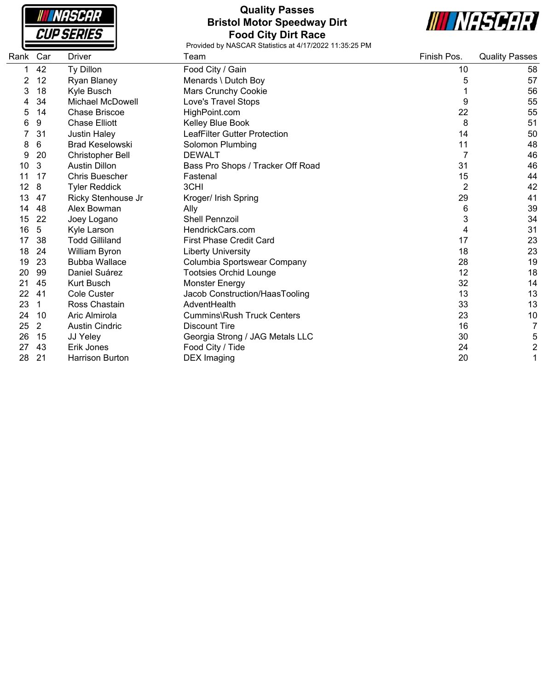**NASCAR CUP SERIES** 

## **Quality Passes Bristol Motor Speedway Dirt Food City Dirt Race**

**III NASCAR** 

| Rank | Car | Driver                 | Team                              | Finish Pos.    | <b>Quality Passes</b> |
|------|-----|------------------------|-----------------------------------|----------------|-----------------------|
|      | 42  | Ty Dillon              | Food City / Gain                  | 10             | 58                    |
| 2    | 12  | <b>Ryan Blaney</b>     | Menards \ Dutch Boy               | 5              | 57                    |
| 3    | 18  | Kyle Busch             | Mars Crunchy Cookie               |                | 56                    |
|      | 34  | Michael McDowell       | Love's Travel Stops               | 9              | 55                    |
| 5    | 14  | <b>Chase Briscoe</b>   | HighPoint.com                     | 22             | 55                    |
| 6    | 9   | <b>Chase Elliott</b>   | Kelley Blue Book                  | 8              | 51                    |
|      | 31  | <b>Justin Haley</b>    | LeafFilter Gutter Protection      | 14             | 50                    |
| 8    | 6   | <b>Brad Keselowski</b> | Solomon Plumbing                  | 11             | 48                    |
| 9    | 20  | Christopher Bell       | <b>DEWALT</b>                     | 7              | 46                    |
| 10   | 3   | <b>Austin Dillon</b>   | Bass Pro Shops / Tracker Off Road | 31             | 46                    |
|      | 17  | <b>Chris Buescher</b>  | Fastenal                          | 15             | 44                    |
| 12   | 8   | <b>Tyler Reddick</b>   | 3CHI                              | $\overline{2}$ | 42                    |
| 13   | 47  | Ricky Stenhouse Jr     | Kroger/ Irish Spring              | 29             | 41                    |
| 14   | 48  | Alex Bowman            | Ally                              | 6              | 39                    |
| 15   | 22  | Joey Logano            | <b>Shell Pennzoil</b>             | 3              | 34                    |
| 16   | 5   | Kyle Larson            | HendrickCars.com                  | 4              | 31                    |
| 17   | 38  | <b>Todd Gilliland</b>  | <b>First Phase Credit Card</b>    | 17             | 23                    |
| 18   | 24  | William Byron          | <b>Liberty University</b>         | 18             | 23                    |
| 19   | 23  | <b>Bubba Wallace</b>   | Columbia Sportswear Company       | 28             | 19                    |
| 20   | 99  | Daniel Suárez          | <b>Tootsies Orchid Lounge</b>     | 12             | 18                    |
| 21   | 45  | <b>Kurt Busch</b>      | Monster Energy                    | 32             | 14                    |
| 22   | 41  | <b>Cole Custer</b>     | Jacob Construction/HaasTooling    | 13             | 13                    |
| 23   | 1   | Ross Chastain          | AdventHealth                      | 33             | 13                    |
| 24   | 10  | Aric Almirola          | <b>Cummins\Rush Truck Centers</b> | 23             | 10                    |
| 25   | 2   | <b>Austin Cindric</b>  | <b>Discount Tire</b>              | 16             | $\overline{7}$        |
| 26   | 15  | JJ Yeley               | Georgia Strong / JAG Metals LLC   | 30             | 5                     |
| 27   | 43  | Erik Jones             | Food City / Tide                  | 24             | $\overline{2}$        |
| 28   | 21  | <b>Harrison Burton</b> | <b>DEX</b> Imaging                | 20             | 1                     |